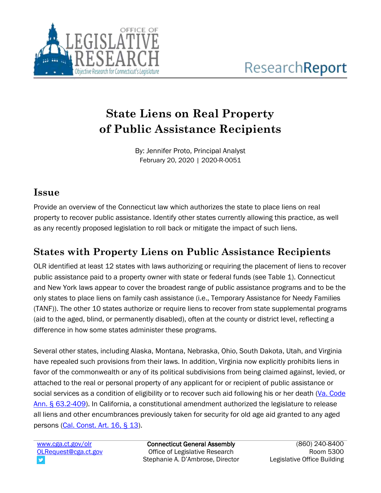

# **State Liens on Real Property of Public Assistance Recipients**

By: Jennifer Proto, Principal Analyst February 20, 2020 | 2020-R-0051

### **Issue**

Provide an overview of the Connecticut law which authorizes the state to place liens on real property to recover public assistance. Identify other states currently allowing this practice, as well as any recently proposed legislation to roll back or mitigate the impact of such liens.

## **States with Property Liens on Public Assistance Recipients**

OLR identified at least 12 states with laws authorizing or requiring the placement of liens to recover public assistance paid to a property owner with state or federal funds (see Table 1). Connecticut and New York laws appear to cover the broadest range of public assistance programs and to be the only states to place liens on family cash assistance (i.e., Temporary Assistance for Needy Families (TANF)). The other 10 states authorize or require liens to recover from state supplemental programs (aid to the aged, blind, or permanently disabled), often at the county or district level, reflecting a difference in how some states administer these programs.

Several other states, including Alaska, Montana, Nebraska, Ohio, South Dakota, Utah, and Virginia have repealed such provisions from their laws. In addition, Virginia now explicitly prohibits liens in favor of the commonwealth or any of its political subdivisions from being claimed against, levied, or attached to the real or personal property of any applicant for or recipient of public assistance or social services as a condition of eligibility or to recover such aid following his or her death (Va. Code [Ann. § 63.2-409\)](https://law.lis.virginia.gov/vacode/title63.2/chapter4/section63.2-409/). In California, a constitutional amendment authorized the legislature to release all liens and other encumbrances previously taken for security for old age aid granted to any aged persons [\(Cal. Const. Art. 16, § 13\)](https://leginfo.legislature.ca.gov/faces/codes_displaySection.xhtml?lawCode=CONS§ionNum=SEC.%2013.&article=XVI).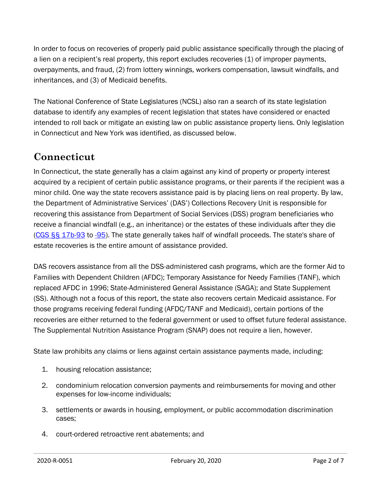In order to focus on recoveries of properly paid public assistance specifically through the placing of a lien on a recipient's real property, this report excludes recoveries (1) of improper payments, overpayments, and fraud, (2) from lottery winnings, workers compensation, lawsuit windfalls, and inheritances, and (3) of Medicaid benefits.

The National Conference of State Legislatures (NCSL) also ran a search of its state legislation database to identify any examples of recent legislation that states have considered or enacted intended to roll back or mitigate an existing law on public assistance property liens. Only legislation in Connecticut and New York was identified, as discussed below.

### **Connecticut**

In Connecticut, the state generally has a claim against any kind of property or property interest acquired by a recipient of certain public assistance programs, or their parents if the recipient was a minor child. One way the state recovers assistance paid is by placing liens on real property. By law, the Department of Administrative Services' (DAS') Collections Recovery Unit is responsible for recovering this assistance from Department of Social Services (DSS) program beneficiaries who receive a financial windfall (e.g., an inheritance) or the estates of these individuals after they die  $(CGS$   $\S$ § $17b$ -93 to  $-95$ ). The state generally takes half of windfall proceeds. The state's share of estate recoveries is the entire amount of assistance provided.

DAS recovers assistance from all the DSS-administered cash programs, which are the former Aid to Families with Dependent Children (AFDC); Temporary Assistance for Needy Families (TANF), which replaced AFDC in 1996; State-Administered General Assistance (SAGA); and State Supplement (SS). Although not a focus of this report, the state also recovers certain Medicaid assistance. For those programs receiving federal funding (AFDC/TANF and Medicaid), certain portions of the recoveries are either returned to the federal government or used to offset future federal assistance. The Supplemental Nutrition Assistance Program (SNAP) does not require a lien, however.

State law prohibits any claims or liens against certain assistance payments made, including:

- 1. housing relocation assistance;
- 2. condominium relocation conversion payments and reimbursements for moving and other expenses for low-income individuals;
- 3. settlements or awards in housing, employment, or public accommodation discrimination cases;
- 4. court-ordered retroactive rent abatements; and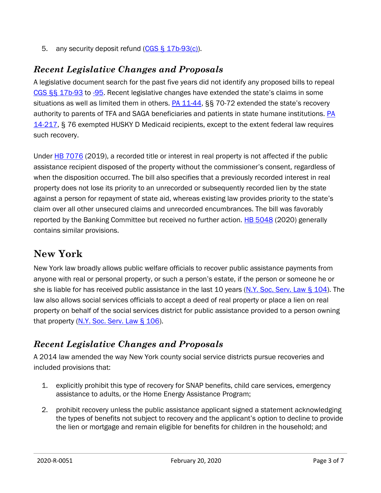5. any security deposit refund [\(CGS § 17b-93\(c\)\)](https://www.cga.ct.gov/current/pub/chap_319s.htm#sec_17b-93).

#### *Recent Legislative Changes and Proposals*

A legislative document search for the past five years did not identify any proposed bills to repeal [CGS §§ 17b-93](https://www.cga.ct.gov/current/pub/chap_319s.htm#sec_17b-93) to [-95.](https://www.cga.ct.gov/current/pub/chap_319s.htm#sec_17b-95) Recent legislative changes have extended the state's claims in some situations as well as limited them in others. [PA 11-44,](https://www.cga.ct.gov/2011/SUM/2011SUM00044-R01SB-01240-SUM.htm) §§ 70-72 extended the state's recovery authority to parents of TFA and SAGA beneficiaries and patients in state humane institutions. [PA](https://www.cga.ct.gov/2014/SUM/2014SUM00217-R01HB-05597-SUM.htm)  [14-217,](https://www.cga.ct.gov/2014/SUM/2014SUM00217-R01HB-05597-SUM.htm) § 76 exempted HUSKY D Medicaid recipients, except to the extent federal law requires such recovery.

Under **HB** 7076 (2019), a recorded title or interest in real property is not affected if the public assistance recipient disposed of the property without the commissioner's consent, regardless of when the disposition occurred. The bill also specifies that a previously recorded interest in real property does not lose its priority to an unrecorded or subsequently recorded lien by the state against a person for repayment of state aid, whereas existing law provides priority to the state's claim over all other unsecured claims and unrecorded encumbrances. The bill was favorably reported by the Banking Committee but received no further action. [HB 5048](https://www.cga.ct.gov/asp/cgabillstatus/cgabillstatus.asp?selBillType=Bill&which_year=2020&bill_num=5048) (2020) generally contains similar provisions.

### **New York**

New York law broadly allows public welfare officials to recover public assistance payments from anyone with real or personal property, or such a person's estate, if the person or someone he or she is liable for has received public assistance in the last 10 years (N.Y. Soc. Serv. Law [§ 104\)](https://www.nysenate.gov/legislation/laws/SOS/104). The law also allows social services officials to accept a deed of real property or place a lien on real property on behalf of the social services district for public assistance provided to a person owning that property  $(N.Y.$  Soc. [Serv. Law](https://www.nysenate.gov/legislation/laws/SOS/106)  $\S$  106).

### *Recent Legislative Changes and Proposals*

A 2014 law amended the way New York county social service districts pursue recoveries and included provisions that:

- 1. explicitly prohibit this type of recovery for SNAP benefits, child care services, emergency assistance to adults, or the Home Energy Assistance Program;
- 2. prohibit recovery unless the public assistance applicant signed a statement acknowledging the types of benefits not subject to recovery and the applicant's option to decline to provide the lien or mortgage and remain eligible for benefits for children in the household; and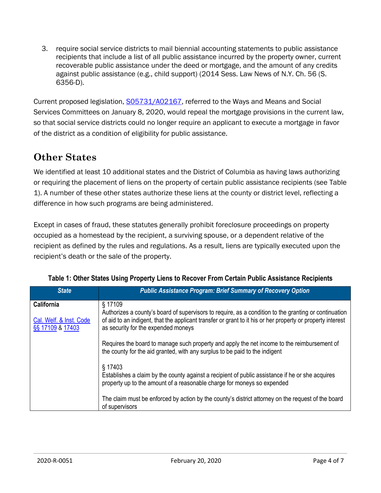3. require social service districts to mail biennial accounting statements to public assistance recipients that include a list of all public assistance incurred by the property owner, current recoverable public assistance under the deed or mortgage, and the amount of any credits against public assistance (e.g., child support) (2014 Sess. Law News of N.Y. Ch. 56 (S. 6356-D).

Current proposed legislation, [S05731/A02167,](https://nyassembly.gov/leg/?default_fld=&leg_video=&bn=S05731&term=2019&Summary=Y&Actions=Y) referred to the Ways and Means and Social Services Committees on January 8, 2020, would repeal the mortgage provisions in the current law, so that social service districts could no longer require an applicant to execute a mortgage in favor of the district as a condition of eligibility for public assistance.

### **Other States**

We identified at least 10 additional states and the District of Columbia as having laws authorizing or requiring the placement of liens on the property of certain public assistance recipients (see Table 1). A number of these other states authorize these liens at the county or district level, reflecting a difference in how such programs are being administered.

Except in cases of fraud, these statutes generally prohibit foreclosure proceedings on property occupied as a homestead by the recipient, a surviving spouse, or a dependent relative of the recipient as defined by the rules and regulations. As a result, liens are typically executed upon the recipient's death or the sale of the property.

| <b>State</b>                                                     | <b>Public Assistance Program: Brief Summary of Recovery Option</b>                                                                                                                                                                                                    |
|------------------------------------------------------------------|-----------------------------------------------------------------------------------------------------------------------------------------------------------------------------------------------------------------------------------------------------------------------|
| <b>California</b><br>Cal. Welf. & Inst. Code<br>§§ 17109 & 17403 | § 17109<br>Authorizes a county's board of supervisors to require, as a condition to the granting or continuation<br>of aid to an indigent, that the applicant transfer or grant to it his or her property or property interest<br>as security for the expended moneys |
|                                                                  | Requires the board to manage such property and apply the net income to the reimbursement of<br>the county for the aid granted, with any surplus to be paid to the indigent                                                                                            |
|                                                                  | § 17403<br>Establishes a claim by the county against a recipient of public assistance if he or she acquires<br>property up to the amount of a reasonable charge for moneys so expended                                                                                |
|                                                                  | The claim must be enforced by action by the county's district attorney on the request of the board<br>of supervisors                                                                                                                                                  |

|  |  |  |  |  |  |  |  |  |  | Table 1: Other States Using Property Liens to Recover From Certain Public Assistance Recipients |  |
|--|--|--|--|--|--|--|--|--|--|-------------------------------------------------------------------------------------------------|--|
|--|--|--|--|--|--|--|--|--|--|-------------------------------------------------------------------------------------------------|--|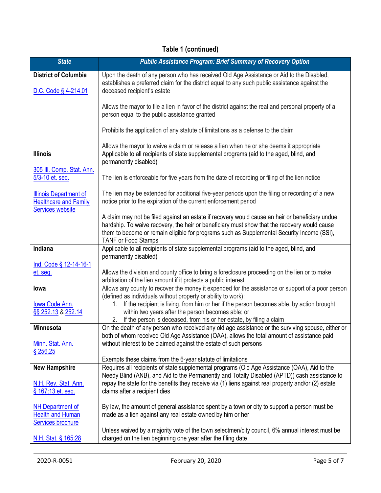### **Table 1 (continued)**

| <b>State</b>                                                                             | <b>Public Assistance Program: Brief Summary of Recovery Option</b>                                                                                                                                                                                                                                                          |
|------------------------------------------------------------------------------------------|-----------------------------------------------------------------------------------------------------------------------------------------------------------------------------------------------------------------------------------------------------------------------------------------------------------------------------|
| <b>District of Columbia</b><br>D.C. Code § 4-214.01                                      | Upon the death of any person who has received Old Age Assistance or Aid to the Disabled,<br>establishes a preferred claim for the district equal to any such public assistance against the<br>deceased recipient's estate                                                                                                   |
|                                                                                          | Allows the mayor to file a lien in favor of the district against the real and personal property of a<br>person equal to the public assistance granted                                                                                                                                                                       |
|                                                                                          | Prohibits the application of any statute of limitations as a defense to the claim                                                                                                                                                                                                                                           |
|                                                                                          | Allows the mayor to waive a claim or release a lien when he or she deems it appropriate                                                                                                                                                                                                                                     |
| <b>Illinois</b>                                                                          | Applicable to all recipients of state supplemental programs (aid to the aged, blind, and<br>permanently disabled)                                                                                                                                                                                                           |
| 305 III. Comp. Stat. Ann.<br>5/3-10 et. seq.                                             | The lien is enforceable for five years from the date of recording or filing of the lien notice                                                                                                                                                                                                                              |
| <b>Illinois Department of</b><br><b>Healthcare and Family</b><br><b>Services website</b> | The lien may be extended for additional five-year periods upon the filing or recording of a new<br>notice prior to the expiration of the current enforcement period                                                                                                                                                         |
|                                                                                          | A claim may not be filed against an estate if recovery would cause an heir or beneficiary undue<br>hardship. To waive recovery, the heir or beneficiary must show that the recovery would cause<br>them to become or remain eligible for programs such as Supplemental Security Income (SSI),<br><b>TANF or Food Stamps</b> |
| Indiana                                                                                  | Applicable to all recipients of state supplemental programs (aid to the aged, blind, and<br>permanently disabled)                                                                                                                                                                                                           |
| Ind. Code § 12-14-16-1<br>et. seq.                                                       | Allows the division and county office to bring a foreclosure proceeding on the lien or to make<br>arbitration of the lien amount if it protects a public interest                                                                                                                                                           |
| lowa                                                                                     | Allows any county to recover the money it expended for the assistance or support of a poor person<br>(defined as individuals without property or ability to work):                                                                                                                                                          |
| lowa Code Ann.<br>§§ 252.13 & 252.14                                                     | If the recipient is living, from him or her if the person becomes able, by action brought<br>1.<br>within two years after the person becomes able; or<br>If the person is deceased, from his or her estate, by filing a claim<br>2.                                                                                         |
| <b>Minnesota</b>                                                                         | On the death of any person who received any old age assistance or the surviving spouse, either or<br>both of whom received Old Age Assistance (OAA), allows the total amount of assistance paid                                                                                                                             |
| Minn. Stat. Ann.<br>\$256.25                                                             | without interest to be claimed against the estate of such persons                                                                                                                                                                                                                                                           |
|                                                                                          | Exempts these claims from the 6-year statute of limitations                                                                                                                                                                                                                                                                 |
| <b>New Hampshire</b>                                                                     | Requires all recipients of state supplemental programs (Old Age Assistance (OAA), Aid to the<br>Needy Blind (ANB), and Aid to the Permanently and Totally Disabled (APTD)) cash assistance to                                                                                                                               |
| N.H. Rev. Stat. Ann.<br>§ 167:13 et. seq.                                                | repay the state for the benefits they receive via (1) liens against real property and/or (2) estate<br>claims after a recipient dies                                                                                                                                                                                        |
| <b>NH Department of</b><br><b>Health and Human</b>                                       | By law, the amount of general assistance spent by a town or city to support a person must be<br>made as a lien against any real estate owned by him or her                                                                                                                                                                  |
| <b>Services brochure</b><br>N.H. Stat. § 165:28                                          | Unless waived by a majority vote of the town selectmen/city council, 6% annual interest must be<br>charged on the lien beginning one year after the filing date                                                                                                                                                             |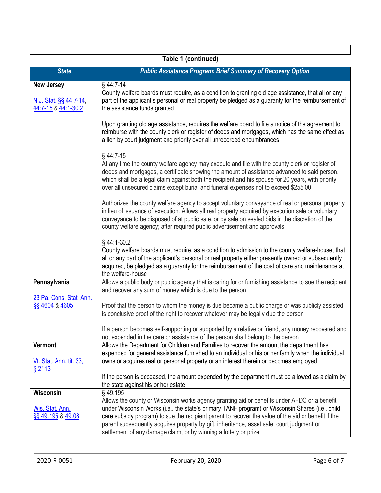|                                                                    | Table 1 (continued)                                                                                                                                                                                                                                                                                                                                                                                                                                                                |
|--------------------------------------------------------------------|------------------------------------------------------------------------------------------------------------------------------------------------------------------------------------------------------------------------------------------------------------------------------------------------------------------------------------------------------------------------------------------------------------------------------------------------------------------------------------|
| <b>State</b>                                                       | <b>Public Assistance Program: Brief Summary of Recovery Option</b>                                                                                                                                                                                                                                                                                                                                                                                                                 |
| <b>New Jersey</b><br>N.J. Stat. §§ 44:7-14,<br>44:7-15 & 44:1-30.2 | §44:7-14<br>County welfare boards must require, as a condition to granting old age assistance, that all or any<br>part of the applicant's personal or real property be pledged as a guaranty for the reimbursement of<br>the assistance funds granted                                                                                                                                                                                                                              |
|                                                                    | Upon granting old age assistance, requires the welfare board to file a notice of the agreement to<br>reimburse with the county clerk or register of deeds and mortgages, which has the same effect as<br>a lien by court judgment and priority over all unrecorded encumbrances                                                                                                                                                                                                    |
|                                                                    | $§$ 44:7-15<br>At any time the county welfare agency may execute and file with the county clerk or register of<br>deeds and mortgages, a certificate showing the amount of assistance advanced to said person,<br>which shall be a legal claim against both the recipient and his spouse for 20 years, with priority<br>over all unsecured claims except burial and funeral expenses not to exceed \$255.00                                                                        |
|                                                                    | Authorizes the county welfare agency to accept voluntary conveyance of real or personal property<br>in lieu of issuance of execution. Allows all real property acquired by execution sale or voluntary<br>conveyance to be disposed of at public sale, or by sale on sealed bids in the discretion of the<br>county welfare agency; after required public advertisement and approvals                                                                                              |
|                                                                    | §44:1-30.2<br>County welfare boards must require, as a condition to admission to the county welfare-house, that<br>all or any part of the applicant's personal or real property either presently owned or subsequently<br>acquired, be pledged as a guaranty for the reimbursement of the cost of care and maintenance at<br>the welfare-house                                                                                                                                     |
| Pennsylvania                                                       | Allows a public body or public agency that is caring for or furnishing assistance to sue the recipient<br>and recover any sum of money which is due to the person                                                                                                                                                                                                                                                                                                                  |
| 23 Pa. Cons. Stat. Ann.<br>SS 4604 & 4605                          | Proof that the person to whom the money is due became a public charge or was publicly assisted<br>is conclusive proof of the right to recover whatever may be legally due the person                                                                                                                                                                                                                                                                                               |
|                                                                    | If a person becomes self-supporting or supported by a relative or friend, any money recovered and<br>not expended in the care or assistance of the person shall belong to the person                                                                                                                                                                                                                                                                                               |
| Vermont<br>Vt. Stat. Ann. tit. 33,<br>§ 2113                       | Allows the Department for Children and Families to recover the amount the department has<br>expended for general assistance furnished to an individual or his or her family when the individual<br>owns or acquires real or personal property or an interest therein or becomes employed                                                                                                                                                                                           |
|                                                                    | If the person is deceased, the amount expended by the department must be allowed as a claim by<br>the state against his or her estate                                                                                                                                                                                                                                                                                                                                              |
| Wisconsin<br>Wis. Stat. Ann.<br>SS 49.195 & 49.08                  | §49.195<br>Allows the county or Wisconsin works agency granting aid or benefits under AFDC or a benefit<br>under Wisconsin Works (i.e., the state's primary TANF program) or Wisconsin Shares (i.e., child<br>care subsidy program) to sue the recipient parent to recover the value of the aid or benefit if the<br>parent subsequently acquires property by gift, inheritance, asset sale, court judgment or<br>settlement of any damage claim, or by winning a lottery or prize |